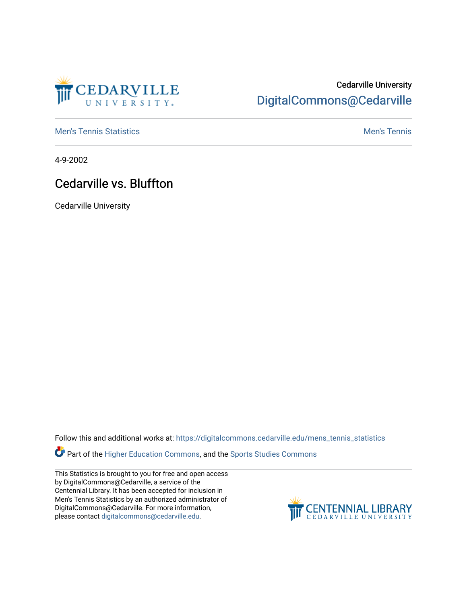

## Cedarville University [DigitalCommons@Cedarville](https://digitalcommons.cedarville.edu/)

**[Men's Tennis Statistics](https://digitalcommons.cedarville.edu/mens_tennis_statistics) Mental According to the Control of Control According Mental Men's Tennis** 

4-9-2002

## Cedarville vs. Bluffton

Cedarville University

Follow this and additional works at: [https://digitalcommons.cedarville.edu/mens\\_tennis\\_statistics](https://digitalcommons.cedarville.edu/mens_tennis_statistics?utm_source=digitalcommons.cedarville.edu%2Fmens_tennis_statistics%2F502&utm_medium=PDF&utm_campaign=PDFCoverPages)

Part of the [Higher Education Commons,](http://network.bepress.com/hgg/discipline/1245?utm_source=digitalcommons.cedarville.edu%2Fmens_tennis_statistics%2F502&utm_medium=PDF&utm_campaign=PDFCoverPages) and the [Sports Studies Commons](http://network.bepress.com/hgg/discipline/1198?utm_source=digitalcommons.cedarville.edu%2Fmens_tennis_statistics%2F502&utm_medium=PDF&utm_campaign=PDFCoverPages) 

This Statistics is brought to you for free and open access by DigitalCommons@Cedarville, a service of the Centennial Library. It has been accepted for inclusion in Men's Tennis Statistics by an authorized administrator of DigitalCommons@Cedarville. For more information, please contact [digitalcommons@cedarville.edu](mailto:digitalcommons@cedarville.edu).